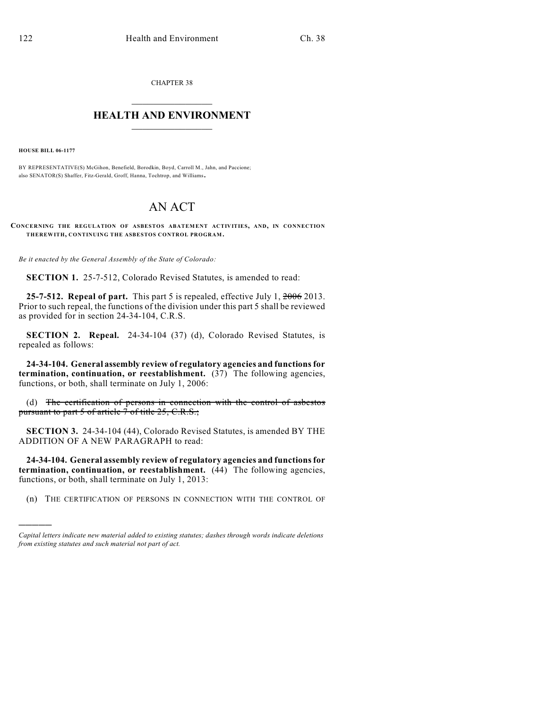CHAPTER 38

## $\overline{\phantom{a}}$  . The set of the set of the set of the set of the set of the set of the set of the set of the set of the set of the set of the set of the set of the set of the set of the set of the set of the set of the set o **HEALTH AND ENVIRONMENT**  $\_$

**HOUSE BILL 06-1177**

)))))

BY REPRESENTATIVE(S) McGihon, Benefield, Borodkin, Boyd, Carroll M., Jahn, and Paccione; also SENATOR(S) Shaffer, Fitz-Gerald, Groff, Hanna, Tochtrop, and Williams.

## AN ACT

**CONCERNING THE REGULATION OF ASBESTOS ABATEMENT ACTIVITIES, AND, IN CONNECTION THEREWITH, CONTINUING THE ASBESTOS CONTROL PROGRAM.**

*Be it enacted by the General Assembly of the State of Colorado:*

**SECTION 1.** 25-7-512, Colorado Revised Statutes, is amended to read:

**25-7-512. Repeal of part.** This part 5 is repealed, effective July 1, 2006 2013. Prior to such repeal, the functions of the division under this part 5 shall be reviewed as provided for in section 24-34-104, C.R.S.

**SECTION 2. Repeal.** 24-34-104 (37) (d), Colorado Revised Statutes, is repealed as follows:

**24-34-104. General assembly review of regulatory agencies and functions for termination, continuation, or reestablishment.** (37) The following agencies, functions, or both, shall terminate on July 1, 2006:

(d) The certification of persons in connection with the control of asbestos pursuant to part 5 of article 7 of title 25, C.R.S.;

**SECTION 3.** 24-34-104 (44), Colorado Revised Statutes, is amended BY THE ADDITION OF A NEW PARAGRAPH to read:

**24-34-104. General assembly review of regulatory agencies and functions for termination, continuation, or reestablishment.** (44) The following agencies, functions, or both, shall terminate on July 1, 2013:

(n) THE CERTIFICATION OF PERSONS IN CONNECTION WITH THE CONTROL OF

*Capital letters indicate new material added to existing statutes; dashes through words indicate deletions from existing statutes and such material not part of act.*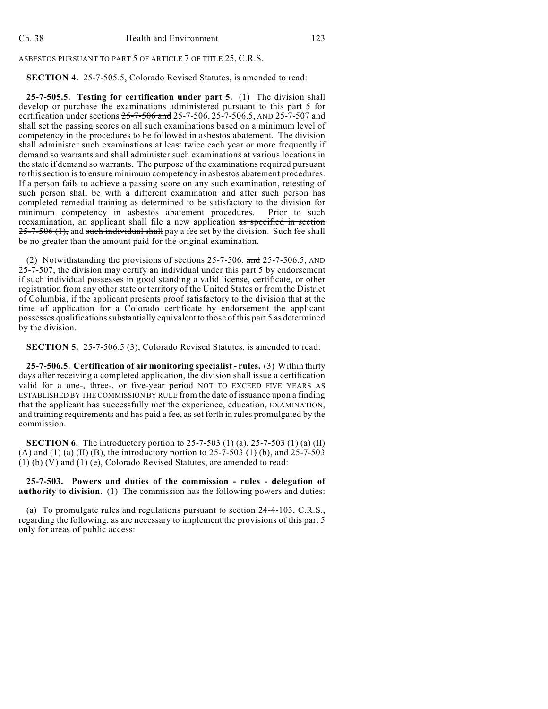ASBESTOS PURSUANT TO PART 5 OF ARTICLE 7 OF TITLE 25, C.R.S.

## **SECTION 4.** 25-7-505.5, Colorado Revised Statutes, is amended to read:

**25-7-505.5. Testing for certification under part 5.** (1) The division shall develop or purchase the examinations administered pursuant to this part 5 for certification under sections  $25-7-506$  and  $25-7-506$ ,  $25-7-506$ ,  $5$ , AND 25-7-507 and shall set the passing scores on all such examinations based on a minimum level of competency in the procedures to be followed in asbestos abatement. The division shall administer such examinations at least twice each year or more frequently if demand so warrants and shall administer such examinations at various locations in the state if demand so warrants. The purpose of the examinations required pursuant to this section is to ensure minimum competency in asbestos abatement procedures. If a person fails to achieve a passing score on any such examination, retesting of such person shall be with a different examination and after such person has completed remedial training as determined to be satisfactory to the division for minimum competency in asbestos abatement procedures. reexamination, an applicant shall file a new application as specified in section  $25-7-506$  (1), and such individual shall pay a fee set by the division. Such fee shall be no greater than the amount paid for the original examination.

(2) Notwithstanding the provisions of sections 25-7-506, and 25-7-506.5, AND 25-7-507, the division may certify an individual under this part 5 by endorsement if such individual possesses in good standing a valid license, certificate, or other registration from any other state or territory of the United States or from the District of Columbia, if the applicant presents proof satisfactory to the division that at the time of application for a Colorado certificate by endorsement the applicant possesses qualifications substantially equivalent to those of this part 5 as determined by the division.

**SECTION 5.** 25-7-506.5 (3), Colorado Revised Statutes, is amended to read:

**25-7-506.5. Certification of air monitoring specialist - rules.** (3) Within thirty days after receiving a completed application, the division shall issue a certification valid for a one-, three-, or five-year period NOT TO EXCEED FIVE YEARS AS ESTABLISHED BY THE COMMISSION BY RULE from the date of issuance upon a finding that the applicant has successfully met the experience, education, EXAMINATION, and training requirements and has paid a fee, as set forth in rules promulgated by the commission.

**SECTION 6.** The introductory portion to 25-7-503 (1) (a), 25-7-503 (1) (a) (II) (A) and (1) (a) (II) (B), the introductory portion to  $25-7-503$  (1) (b), and  $25-7-503$ (1) (b) (V) and (1) (e), Colorado Revised Statutes, are amended to read:

**25-7-503. Powers and duties of the commission - rules - delegation of authority to division.** (1) The commission has the following powers and duties:

(a) To promulgate rules and regulations pursuant to section 24-4-103, C.R.S., regarding the following, as are necessary to implement the provisions of this part 5 only for areas of public access: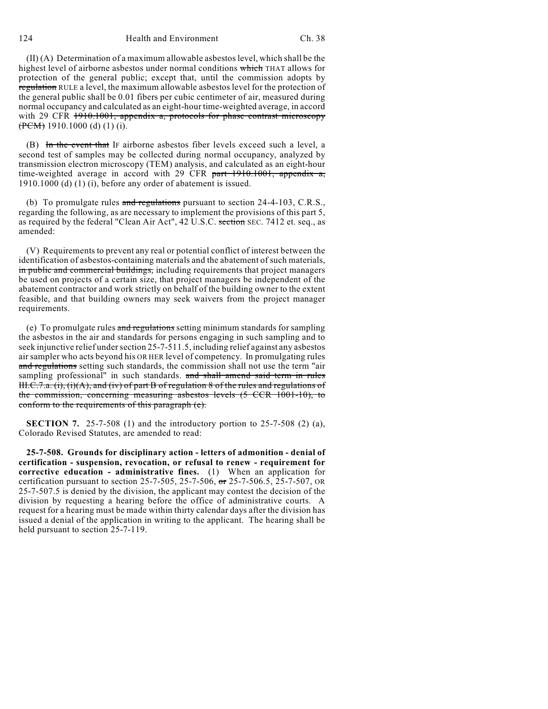124 **Health and Environment** Ch. 38

(II) (A) Determination of a maximum allowable asbestos level, which shall be the highest level of airborne asbestos under normal conditions which THAT allows for protection of the general public; except that, until the commission adopts by regulation RULE a level, the maximum allowable asbestos level for the protection of the general public shall be 0.01 fibers per cubic centimeter of air, measured during normal occupancy and calculated as an eight-hour time-weighted average, in accord with 29 CFR 1910.1001, appendix a, protocols for phase contrast microscopy  $(**PCM**)$  1910.1000 (d) (1) (i).

(B) In the event that IF airborne asbestos fiber levels exceed such a level, a second test of samples may be collected during normal occupancy, analyzed by transmission electron microscopy (TEM) analysis, and calculated as an eight-hour time-weighted average in accord with 29 CFR part  $1910.1001$ , appendix a, 1910.1000 (d) (1) (i), before any order of abatement is issued.

(b) To promulgate rules  $\frac{1}{\alpha}$  regulations pursuant to section 24-4-103, C.R.S., regarding the following, as are necessary to implement the provisions of this part 5, as required by the federal "Clean Air Act", 42 U.S.C. section SEC. 7412 et. seq., as amended:

(V) Requirements to prevent any real or potential conflict of interest between the identification of asbestos-containing materials and the abatement of such materials, in public and commercial buildings, including requirements that project managers be used on projects of a certain size, that project managers be independent of the abatement contractor and work strictly on behalf of the building owner to the extent feasible, and that building owners may seek waivers from the project manager requirements.

(e) To promulgate rules and regulations setting minimum standards for sampling the asbestos in the air and standards for persons engaging in such sampling and to seek injunctive relief undersection 25-7-511.5, including relief against any asbestos air sampler who acts beyond his OR HER level of competency. In promulgating rules and regulations setting such standards, the commission shall not use the term "air sampling professional" in such standards. and shall amend said term in rules  $H.S.7.a. (i), (i)(A), and (iv) of part B of regulation 8 of the rules and regulations of$ the commission, concerning measuring asbestos levels (5 CCR 1001-10), to conform to the requirements of this paragraph (e).

**SECTION 7.** 25-7-508 (1) and the introductory portion to 25-7-508 (2) (a), Colorado Revised Statutes, are amended to read:

**25-7-508. Grounds for disciplinary action - letters of admonition - denial of certification - suspension, revocation, or refusal to renew - requirement for corrective education - administrative fines.** (1) When an application for certification pursuant to section 25-7-505, 25-7-506, or 25-7-506.5, 25-7-507, OR 25-7-507.5 is denied by the division, the applicant may contest the decision of the division by requesting a hearing before the office of administrative courts. A request for a hearing must be made within thirty calendar days after the division has issued a denial of the application in writing to the applicant. The hearing shall be held pursuant to section 25-7-119.